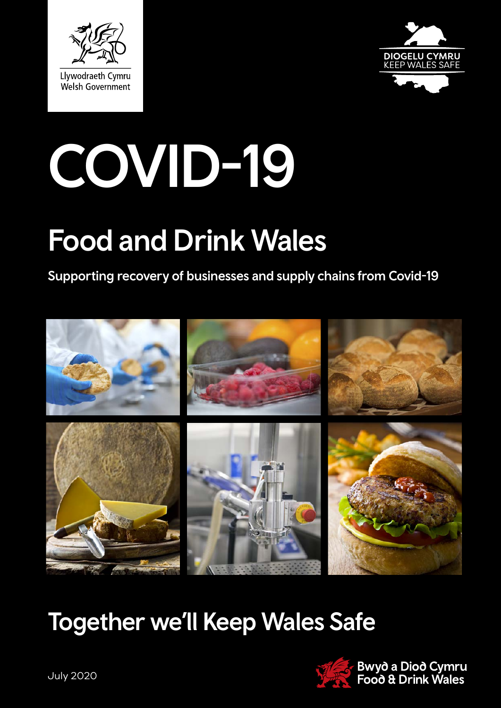



# COVID-19

## Food and Drink Wales

#### Supporting recovery of businesses and supply chains from Covid-19



## Together we'll Keep Wales Safe

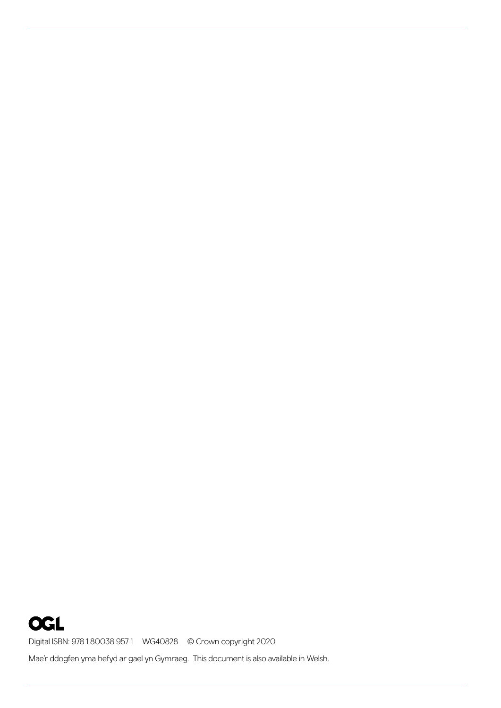**OGL** Digital ISBN: 978 1 80038 957 1 WG40828 © Crown copyright 2020 Mae'r ddogfen yma hefyd ar gael yn Gymraeg. This document is also available in Welsh.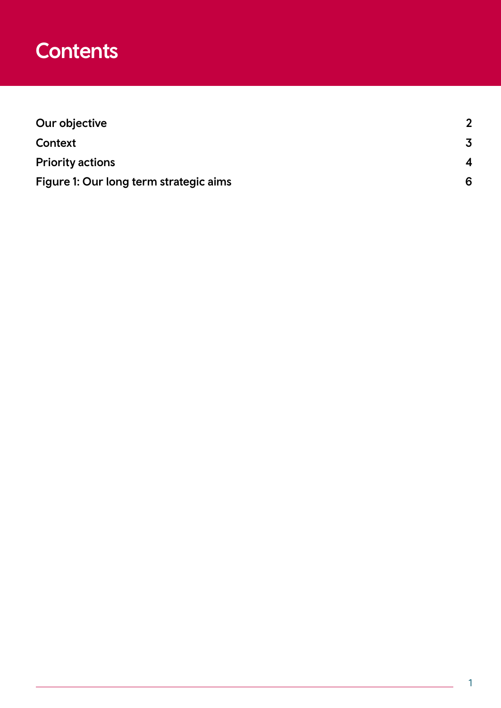#### **Contents**

| Our objective                          |   |
|----------------------------------------|---|
| Context                                |   |
| <b>Priority actions</b>                | 4 |
| Figure 1: Our long term strategic aims | 6 |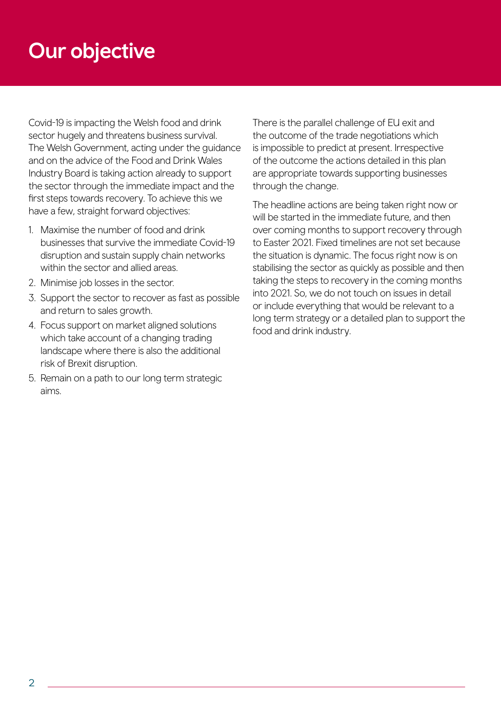### Our objective

Covid-19 is impacting the Welsh food and drink sector hugely and threatens business survival. The Welsh Government, acting under the guidance and on the advice of the Food and Drink Wales Industry Board is taking action already to support the sector through the immediate impact and the first steps towards recovery. To achieve this we have a few, straight forward objectives:

- 1. Maximise the number of food and drink businesses that survive the immediate Covid-19 disruption and sustain supply chain networks within the sector and allied areas.
- 2. Minimise job losses in the sector.
- 3. Support the sector to recover as fast as possible and return to sales growth.
- 4. Focus support on market aligned solutions which take account of a changing trading landscape where there is also the additional risk of Brexit disruption.
- 5. Remain on a path to our long term strategic aims.

There is the parallel challenge of EU exit and the outcome of the trade negotiations which is impossible to predict at present. Irrespective of the outcome the actions detailed in this plan are appropriate towards supporting businesses through the change.

The headline actions are being taken right now or will be started in the immediate future, and then over coming months to support recovery through to Easter 2021. Fixed timelines are not set because the situation is dynamic. The focus right now is on stabilising the sector as quickly as possible and then taking the steps to recovery in the coming months into 2021. So, we do not touch on issues in detail or include everything that would be relevant to a long term strategy or a detailed plan to support the food and drink industry.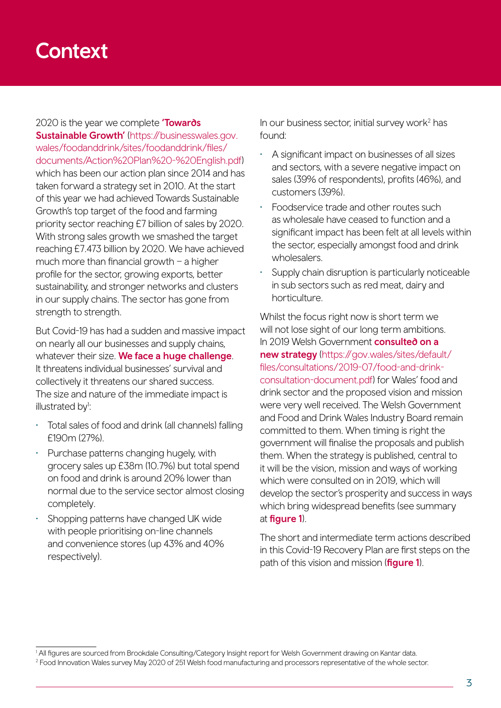#### **Context**

2020 is the year we complete **Towards** Sustainable Growth' [\(https://businesswales.gov.](https://businesswales.gov.wales/foodanddrink/sites/foodanddrink/files/documents/Action%20Plan%20-%20English.pdf) [wales/foodanddrink/sites/foodanddrink/files/](https://businesswales.gov.wales/foodanddrink/sites/foodanddrink/files/documents/Action%20Plan%20-%20English.pdf) [documents/Action%20Plan%20-%20English.pdf](https://businesswales.gov.wales/foodanddrink/sites/foodanddrink/files/documents/Action%20Plan%20-%20English.pdf)) which has been our action plan since 2014 and has taken forward a strategy set in 2010. At the start of this year we had achieved Towards Sustainable Growth's top target of the food and farming priority sector reaching £7 billion of sales by 2020. With strong sales growth we smashed the target reaching £7.473 billion by 2020. We have achieved much more than financial growth  $-$  a higher profile for the sector, growing exports, better sustainability, and stronger networks and clusters in our supply chains. The sector has gone from strength to strength.

But Covid-19 has had a sudden and massive impact on nearly all our businesses and supply chains, whatever their size. We face a huge challenge. It threatens individual businesses' survival and collectively it threatens our shared success. The size and nature of the immediate impact is illustrated by<sup>1</sup>:

- Total sales of food and drink (all channels) falling £190m (27%).
- Purchase patterns changing hugely, with grocery sales up £38m (10.7%) but total spend on food and drink is around 20% lower than normal due to the service sector almost closing completely.
- Shopping patterns have changed UK wide with people prioritising on-line channels and convenience stores (up 43% and 40% respectively).

In our business sector, initial survey work<sup>2</sup> has found:

- A significant impact on businesses of all sizes and sectors, with a severe negative impact on sales (39% of respondents), profits (46%), and customers (39%).
- Foodservice trade and other routes such as wholesale have ceased to function and a significant impact has been felt at all levels within the sector, especially amongst food and drink wholesalers.
- Supply chain disruption is particularly noticeable in sub sectors such as red meat, dairy and horticulture.

Whilst the focus right now is short term we will not lose sight of our long term ambitions. In 2019 Welsh Government **consulted on a** new strategy ([https://gov.wales/sites/default/](https://gov.wales/sites/default/files/consultations/2019-07/food-and-drink-consultation-document.pdf) [files/consultations/2019-07/food-and-drink](https://gov.wales/sites/default/files/consultations/2019-07/food-and-drink-consultation-document.pdf)[consultation-document.pdf\)](https://gov.wales/sites/default/files/consultations/2019-07/food-and-drink-consultation-document.pdf) for Wales' food and drink sector and the proposed vision and mission were very well received. The Welsh Government and Food and Drink Wales Industry Board remain committed to them. When timing is right the government will finalise the proposals and publish them. When the strategy is published, central to it will be the vision, mission and ways of working which were consulted on in 2019, which will develop the sector's prosperity and success in ways which bring widespread benefits (see summary at figure 1).

The short and intermediate term actions described in this Covid-19 Recovery Plan are first steps on the path of this vision and mission (**figure 1**).

<sup>1</sup> All figures are sourced from Brookdale Consulting/Category Insight report for Welsh Government drawing on Kantar data.

<sup>2</sup> Food Innovation Wales survey May 2020 of 251 Welsh food manufacturing and processors representative of the whole sector.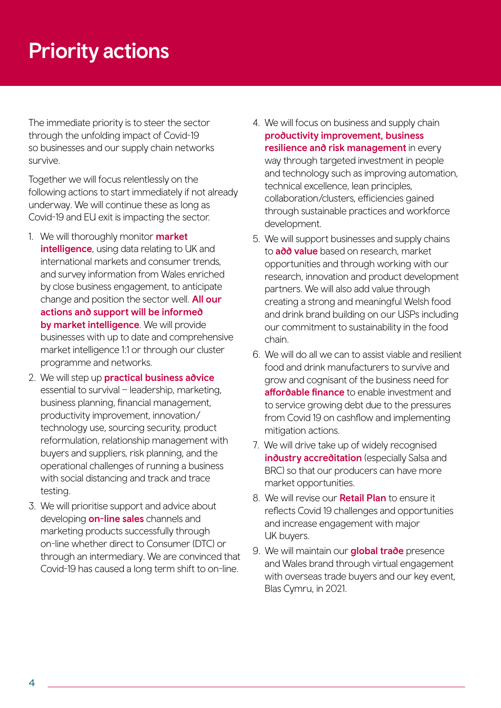## Priority actions

The immediate priority is to steer the sector through the unfolding impact of Covid-19 so businesses and our supply chain networks survive.

Together we will focus relentlessly on the following actions to start immediately if not already underway. We will continue these as long as Covid-19 and EU exit is impacting the sector.

- 1. We will thoroughly monitor **market** intelligence, using data relating to UK and international markets and consumer trends, and survey information from Wales enriched by close business engagement, to anticipate change and position the sector well. **All our** actions and support will be informed by market intelligence. We will provide businesses with up to date and comprehensive market intelligence 1:1 or through our cluster programme and networks.
- 2. We will step up **practical business advice** essential to survival – leadership, marketing, business planning, financial management, productivity improvement, innovation/ technology use, sourcing security, product reformulation, relationship management with buyers and suppliers, risk planning, and the operational challenges of running a business with social distancing and track and trace testing.
- 3. We will prioritise support and advice about developing on-line sales channels and marketing products successfully through on-line whether direct to Consumer (DTC) or through an intermediary. We are convinced that Covid-19 has caused a long term shift to on-line.
- 4. We will focus on business and supply chain productivity improvement, business resilience and risk management in every way through targeted investment in people and technology such as improving automation, technical excellence, lean principles, collaboration/clusters, efficiencies gained through sustainable practices and workforce development.
- 5. We will support businesses and supply chains to **add value** based on research, market opportunities and through working with our research, innovation and product development partners. We will also add value through creating a strong and meaningful Welsh food and drink brand building on our USPs including our commitment to sustainability in the food chain.
- 6. We will do all we can to assist viable and resilient food and drink manufacturers to survive and grow and cognisant of the business need for affordable finance to enable investment and to service growing debt due to the pressures from Covid 19 on cashflow and implementing mitigation actions.
- 7. We will drive take up of widely recognised industry accreditation (especially Salsa and BRC) so that our producers can have more market opportunities.
- 8. We will revise our **Retail Plan** to ensure it reflects Covid 19 challenges and opportunities and increase engagement with major UK buyers.
- 9. We will maintain our **global trade** presence and Wales brand through virtual engagement with overseas trade buyers and our key event, Blas Cymru, in 2021.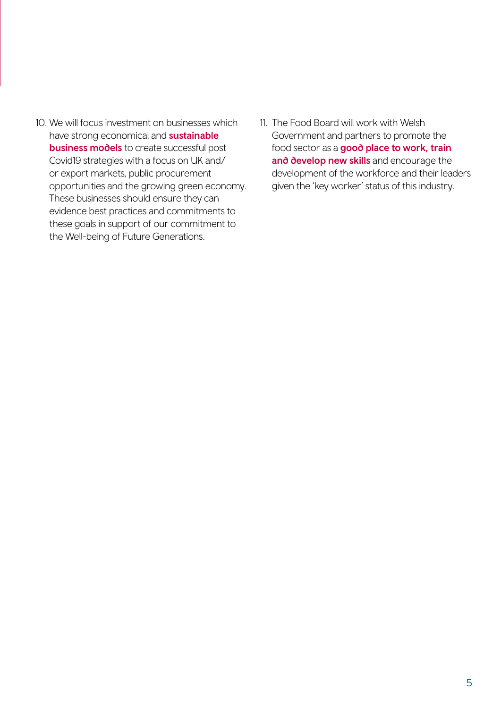- 10. We will focus investment on businesses which have strong economical and **sustainable business models** to create successful post Covid19 strategies with a focus on UK and/ or export markets, public procurement opportunities and the growing green economy. These businesses should ensure they can evidence best practices and commitments to these goals in support of our commitment to the Well-being of Future Generations.
- 11. The Food Board will work with Welsh Government and partners to promote the food sector as a good place to work, train and develop new skills and encourage the development of the workforce and their leaders given the 'key worker' status of this industry.